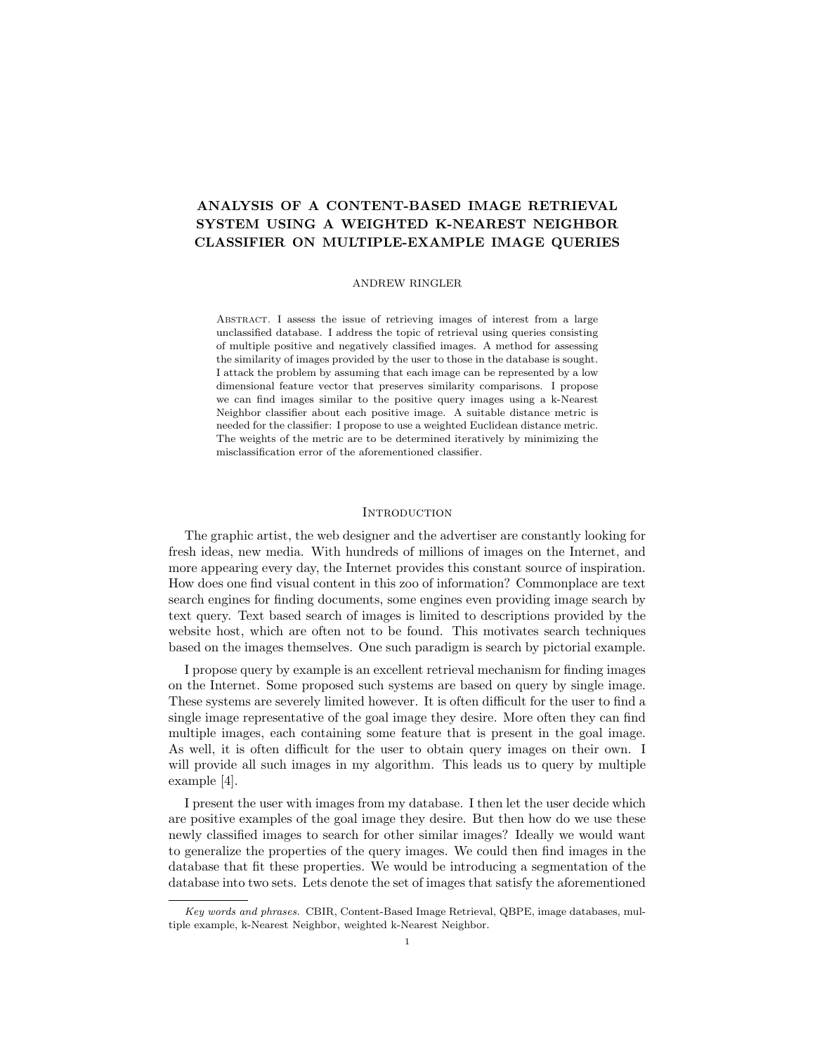# ANALYSIS OF A CONTENT-BASED IMAGE RETRIEVAL SYSTEM USING A WEIGHTED K-NEAREST NEIGHBOR CLASSIFIER ON MULTIPLE-EXAMPLE IMAGE QUERIES

## ANDREW RINGLER

ABSTRACT. I assess the issue of retrieving images of interest from a large unclassified database. I address the topic of retrieval using queries consisting of multiple positive and negatively classified images. A method for assessing the similarity of images provided by the user to those in the database is sought. I attack the problem by assuming that each image can be represented by a low dimensional feature vector that preserves similarity comparisons. I propose we can find images similar to the positive query images using a k-Nearest Neighbor classifier about each positive image. A suitable distance metric is needed for the classifier: I propose to use a weighted Euclidean distance metric. The weights of the metric are to be determined iteratively by minimizing the misclassification error of the aforementioned classifier.

#### **INTRODUCTION**

The graphic artist, the web designer and the advertiser are constantly looking for fresh ideas, new media. With hundreds of millions of images on the Internet, and more appearing every day, the Internet provides this constant source of inspiration. How does one find visual content in this zoo of information? Commonplace are text search engines for finding documents, some engines even providing image search by text query. Text based search of images is limited to descriptions provided by the website host, which are often not to be found. This motivates search techniques based on the images themselves. One such paradigm is search by pictorial example.

I propose query by example is an excellent retrieval mechanism for finding images on the Internet. Some proposed such systems are based on query by single image. These systems are severely limited however. It is often difficult for the user to find a single image representative of the goal image they desire. More often they can find multiple images, each containing some feature that is present in the goal image. As well, it is often difficult for the user to obtain query images on their own. I will provide all such images in my algorithm. This leads us to query by multiple example [4].

I present the user with images from my database. I then let the user decide which are positive examples of the goal image they desire. But then how do we use these newly classified images to search for other similar images? Ideally we would want to generalize the properties of the query images. We could then find images in the database that fit these properties. We would be introducing a segmentation of the database into two sets. Lets denote the set of images that satisfy the aforementioned

Key words and phrases. CBIR, Content-Based Image Retrieval, QBPE, image databases, multiple example, k-Nearest Neighbor, weighted k-Nearest Neighbor.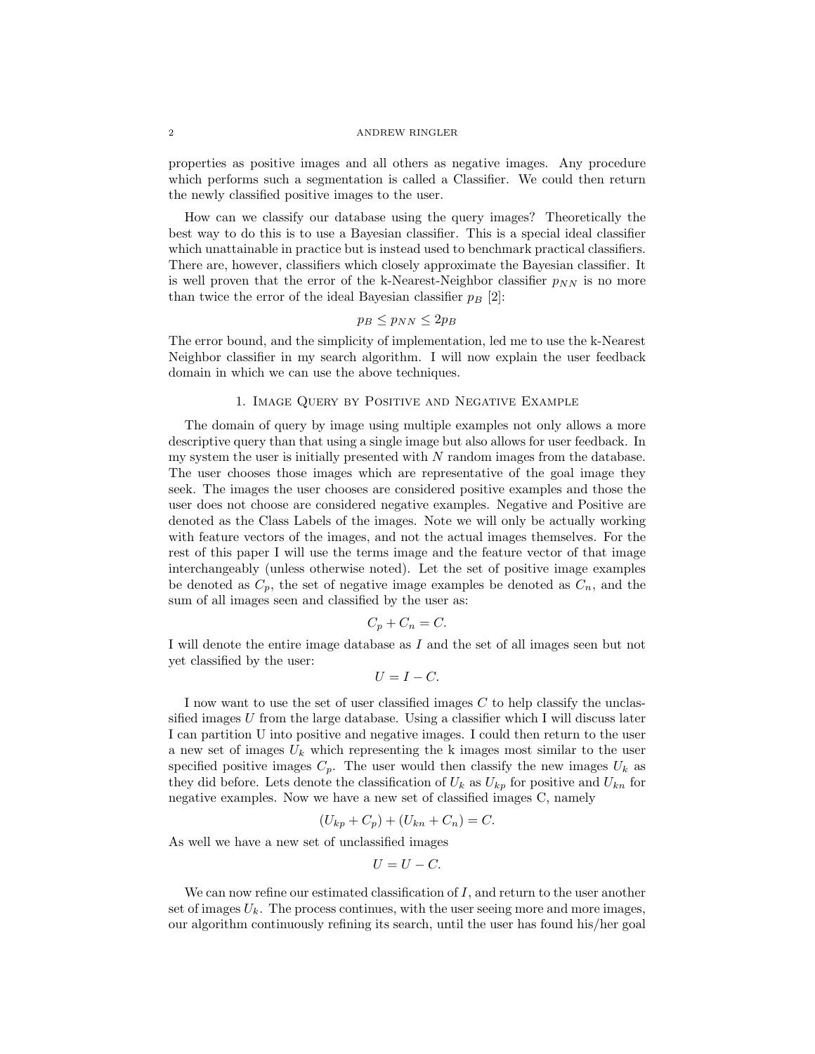#### 2 ANDREW RINGLER

properties as positive images and all others as negative images. Any procedure which performs such a segmentation is called a Classifier. We could then return the newly classified positive images to the user.

How can we classify our database using the query images? Theoretically the best way to do this is to use a Bayesian classifier. This is a special ideal classifier which unattainable in practice but is instead used to benchmark practical classifiers. There are, however, classifiers which closely approximate the Bayesian classifier. It is well proven that the error of the k-Nearest-Neighbor classifier  $p_{NN}$  is no more than twice the error of the ideal Bayesian classifier  $p_B$  [2]:

$$
p_B \le p_{NN} \le 2p_B
$$

The error bound, and the simplicity of implementation, led me to use the k-Nearest Neighbor classifier in my search algorithm. I will now explain the user feedback domain in which we can use the above techniques.

# 1. Image Query by Positive and Negative Example

The domain of query by image using multiple examples not only allows a more descriptive query than that using a single image but also allows for user feedback. In my system the user is initially presented with  $N$  random images from the database. The user chooses those images which are representative of the goal image they seek. The images the user chooses are considered positive examples and those the user does not choose are considered negative examples. Negative and Positive are denoted as the Class Labels of the images. Note we will only be actually working with feature vectors of the images, and not the actual images themselves. For the rest of this paper I will use the terms image and the feature vector of that image interchangeably (unless otherwise noted). Let the set of positive image examples be denoted as  $C_p$ , the set of negative image examples be denoted as  $C_n$ , and the sum of all images seen and classified by the user as:

$$
C_p + C_n = C.
$$

I will denote the entire image database as I and the set of all images seen but not yet classified by the user:

$$
U=I-C.
$$

I now want to use the set of user classified images  $C$  to help classify the unclassified images  $U$  from the large database. Using a classifier which I will discuss later I can partition U into positive and negative images. I could then return to the user a new set of images  $U_k$  which representing the k images most similar to the user specified positive images  $C_p$ . The user would then classify the new images  $U_k$  as they did before. Lets denote the classification of  $U_k$  as  $U_{kp}$  for positive and  $U_{kn}$  for negative examples. Now we have a new set of classified images C, namely

$$
(U_{kp} + C_p) + (U_{kn} + C_n) = C.
$$

As well we have a new set of unclassified images

$$
U=U-C.
$$

We can now refine our estimated classification of  $I$ , and return to the user another set of images  $U_k$ . The process continues, with the user seeing more and more images, our algorithm continuously refining its search, until the user has found his/her goal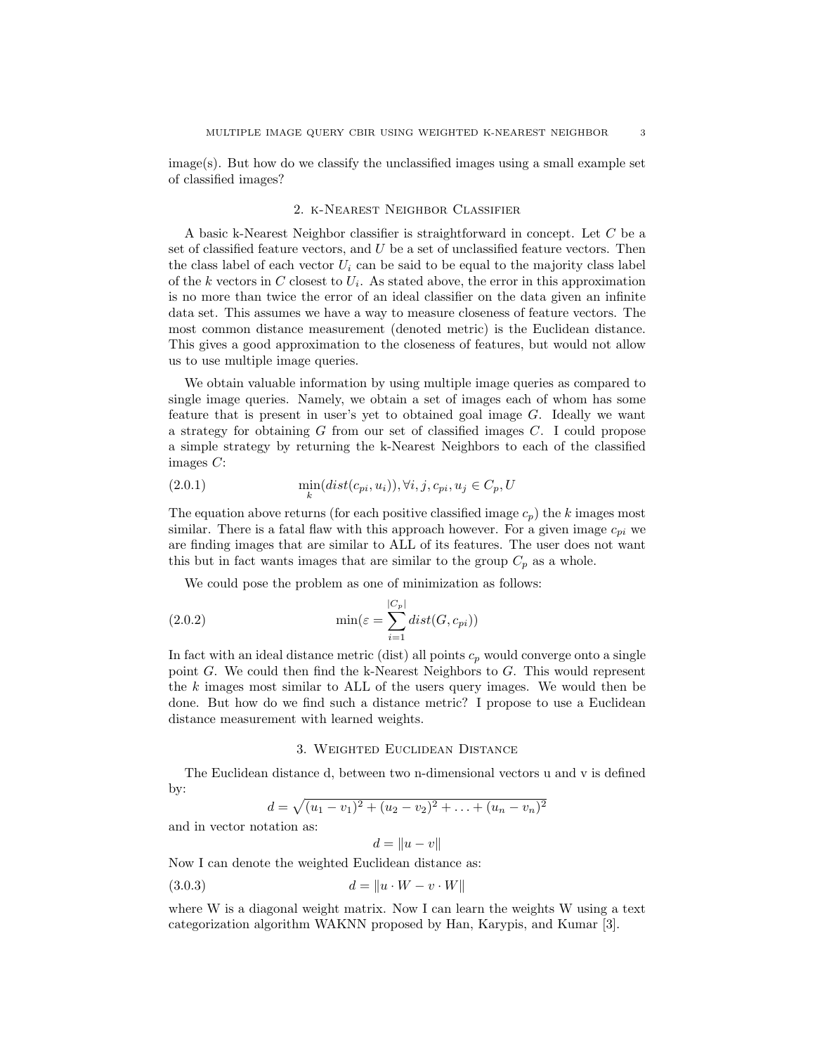$image(s)$ . But how do we classify the unclassified images using a small example set of classified images?

#### 2. k-Nearest Neighbor Classifier

A basic k-Nearest Neighbor classifier is straightforward in concept. Let C be a set of classified feature vectors, and  $U$  be a set of unclassified feature vectors. Then the class label of each vector  $U_i$  can be said to be equal to the majority class label of the k vectors in C closest to  $U_i$ . As stated above, the error in this approximation is no more than twice the error of an ideal classifier on the data given an infinite data set. This assumes we have a way to measure closeness of feature vectors. The most common distance measurement (denoted metric) is the Euclidean distance. This gives a good approximation to the closeness of features, but would not allow us to use multiple image queries.

We obtain valuable information by using multiple image queries as compared to single image queries. Namely, we obtain a set of images each of whom has some feature that is present in user's yet to obtained goal image G. Ideally we want a strategy for obtaining G from our set of classified images C. I could propose a simple strategy by returning the k-Nearest Neighbors to each of the classified images C:

(2.0.1) 
$$
\min_{k} (dist(c_{pi}, u_i)), \forall i, j, c_{pi}, u_j \in C_p, U
$$

The equation above returns (for each positive classified image  $c_p$ ) the k images most similar. There is a fatal flaw with this approach however. For a given image  $c_{ni}$  we are finding images that are similar to ALL of its features. The user does not want this but in fact wants images that are similar to the group  $C_p$  as a whole.

We could pose the problem as one of minimization as follows:

(2.0.2) 
$$
\min(\varepsilon = \sum_{i=1}^{|C_p|} dist(G, c_{pi}))
$$

In fact with an ideal distance metric (dist) all points  $c_p$  would converge onto a single point G. We could then find the k-Nearest Neighbors to G. This would represent the  $k$  images most similar to ALL of the users query images. We would then be done. But how do we find such a distance metric? I propose to use a Euclidean distance measurement with learned weights.

## 3. Weighted Euclidean Distance

The Euclidean distance d, between two n-dimensional vectors u and v is defined by: p

$$
d = \sqrt{(u_1 - v_1)^2 + (u_2 - v_2)^2 + \ldots + (u_n - v_n)^2}
$$

and in vector notation as:

$$
d = \|u - v\|
$$

Now I can denote the weighted Euclidean distance as:

$$
(3.0.3) \t d = \|u \cdot W - v \cdot W\|
$$

where W is a diagonal weight matrix. Now I can learn the weights W using a text categorization algorithm WAKNN proposed by Han, Karypis, and Kumar [3].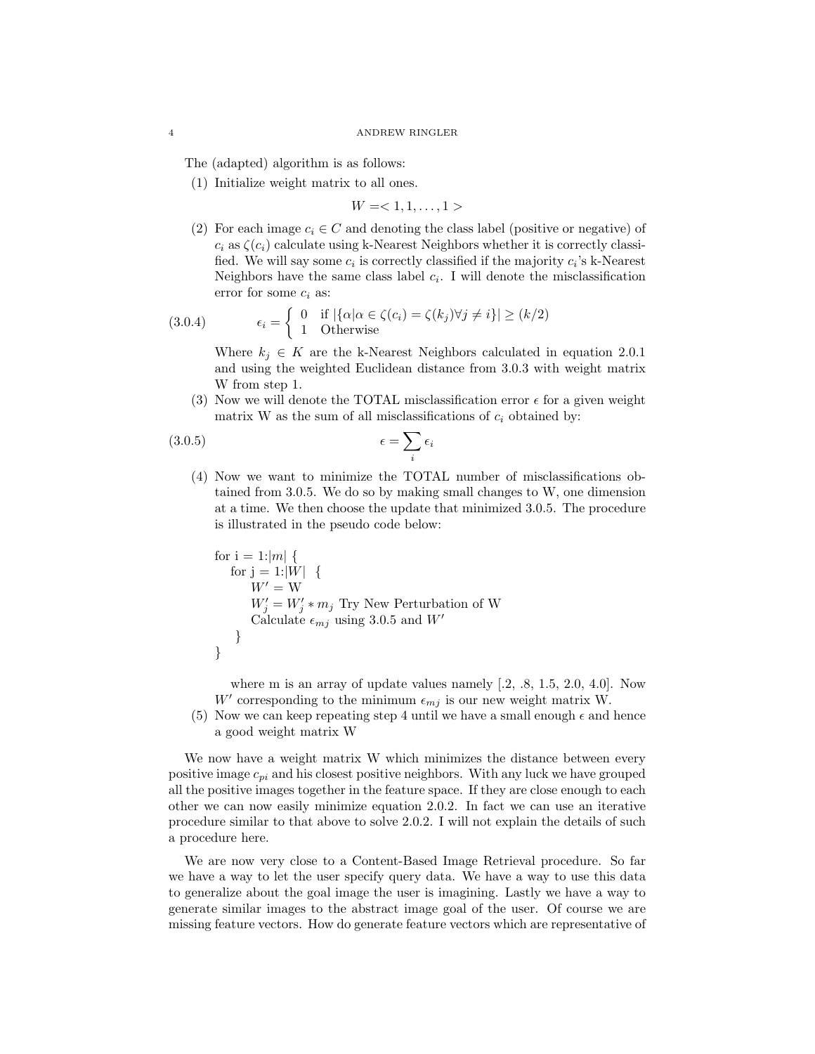The (adapted) algorithm is as follows:

(1) Initialize weight matrix to all ones.

 $W = 1, 1, \ldots, 1$ 

(2) For each image  $c_i \in C$  and denoting the class label (positive or negative) of  $c_i$  as  $\zeta(c_i)$  calculate using k-Nearest Neighbors whether it is correctly classified. We will say some  $c_i$  is correctly classified if the majority  $c_i$ 's k-Nearest Neighbors have the same class label  $c_i$ . I will denote the misclassification error for some  $c_i$  as:

(3.0.4) 
$$
\epsilon_i = \begin{cases} 0 & \text{if } |\{\alpha | \alpha \in \zeta(c_i) = \zeta(k_j) \forall j \neq i\}| \ge (k/2) \\ 1 & \text{Otherwise} \end{cases}
$$

Where  $k_i \in K$  are the k-Nearest Neighbors calculated in equation 2.0.1 and using the weighted Euclidean distance from 3.0.3 with weight matrix W from step 1.

(3) Now we will denote the TOTAL misclassification error  $\epsilon$  for a given weight matrix W as the sum of all misclassifications of  $c_i$  obtained by:

$$
\epsilon = \sum_{i} \epsilon_i
$$

(4) Now we want to minimize the TOTAL number of misclassifications obtained from 3.0.5. We do so by making small changes to W, one dimension at a time. We then choose the update that minimized 3.0.5. The procedure is illustrated in the pseudo code below:

```
for i = 1: |m| {
  for j = 1:|W| {
      W' = WW'_j = W'_j * m_j Try New Perturbation of W
      Calculate \epsilon_{mj} using 3.0.5 and W'
   }
}
```
where m is an array of update values namely [.2, .8, 1.5, 2.0, 4.0]. Now W' corresponding to the minimum  $\epsilon_{mj}$  is our new weight matrix W.

(5) Now we can keep repeating step 4 until we have a small enough  $\epsilon$  and hence a good weight matrix W

We now have a weight matrix W which minimizes the distance between every positive image  $c_{pi}$  and his closest positive neighbors. With any luck we have grouped all the positive images together in the feature space. If they are close enough to each other we can now easily minimize equation 2.0.2. In fact we can use an iterative procedure similar to that above to solve 2.0.2. I will not explain the details of such a procedure here.

We are now very close to a Content-Based Image Retrieval procedure. So far we have a way to let the user specify query data. We have a way to use this data to generalize about the goal image the user is imagining. Lastly we have a way to generate similar images to the abstract image goal of the user. Of course we are missing feature vectors. How do generate feature vectors which are representative of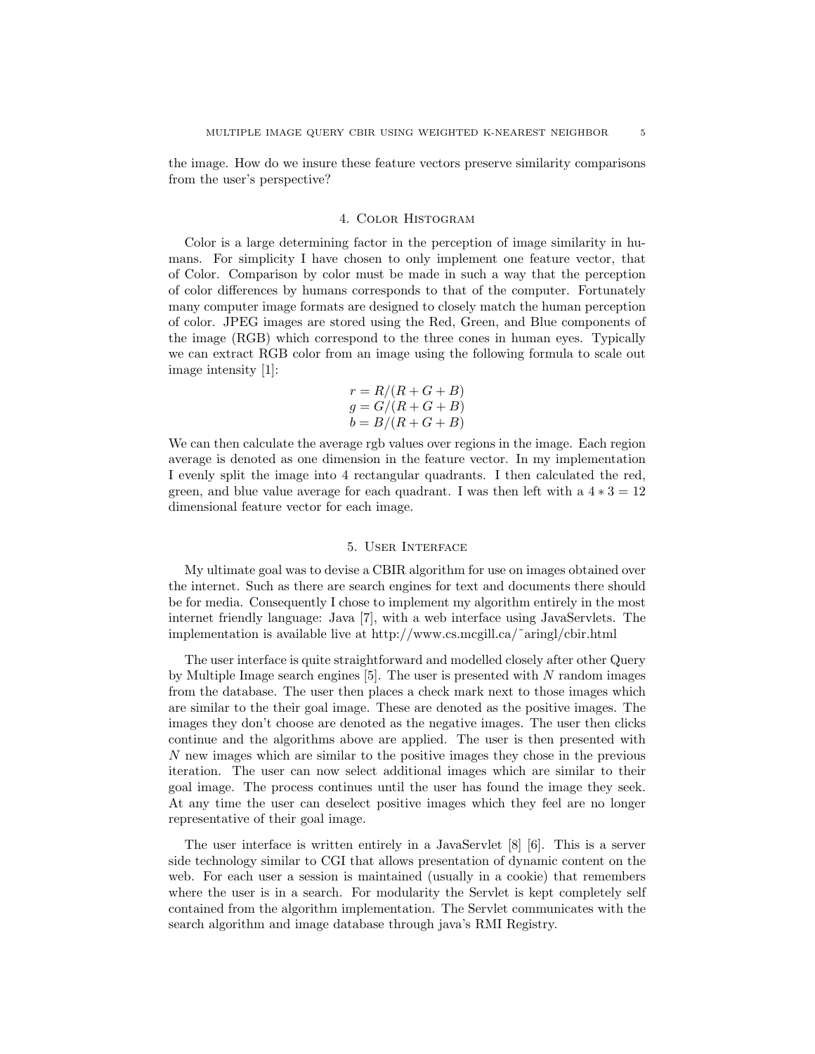the image. How do we insure these feature vectors preserve similarity comparisons from the user's perspective?

# 4. Color Histogram

Color is a large determining factor in the perception of image similarity in humans. For simplicity I have chosen to only implement one feature vector, that of Color. Comparison by color must be made in such a way that the perception of color differences by humans corresponds to that of the computer. Fortunately many computer image formats are designed to closely match the human perception of color. JPEG images are stored using the Red, Green, and Blue components of the image (RGB) which correspond to the three cones in human eyes. Typically we can extract RGB color from an image using the following formula to scale out image intensity [1]:

$$
r = R/(R+G+B)
$$
  
\n
$$
g = G/(R+G+B)
$$
  
\n
$$
b = B/(R+G+B)
$$

We can then calculate the average rgb values over regions in the image. Each region average is denoted as one dimension in the feature vector. In my implementation I evenly split the image into 4 rectangular quadrants. I then calculated the red, green, and blue value average for each quadrant. I was then left with a  $4 * 3 = 12$ dimensional feature vector for each image.

# 5. User Interface

My ultimate goal was to devise a CBIR algorithm for use on images obtained over the internet. Such as there are search engines for text and documents there should be for media. Consequently I chose to implement my algorithm entirely in the most internet friendly language: Java [7], with a web interface using JavaServlets. The implementation is available live at http://www.cs.mcgill.ca/˜aringl/cbir.html

The user interface is quite straightforward and modelled closely after other Query by Multiple Image search engines  $[5]$ . The user is presented with N random images from the database. The user then places a check mark next to those images which are similar to the their goal image. These are denoted as the positive images. The images they don't choose are denoted as the negative images. The user then clicks continue and the algorithms above are applied. The user is then presented with N new images which are similar to the positive images they chose in the previous iteration. The user can now select additional images which are similar to their goal image. The process continues until the user has found the image they seek. At any time the user can deselect positive images which they feel are no longer representative of their goal image.

The user interface is written entirely in a JavaServlet [8] [6]. This is a server side technology similar to CGI that allows presentation of dynamic content on the web. For each user a session is maintained (usually in a cookie) that remembers where the user is in a search. For modularity the Servlet is kept completely self contained from the algorithm implementation. The Servlet communicates with the search algorithm and image database through java's RMI Registry.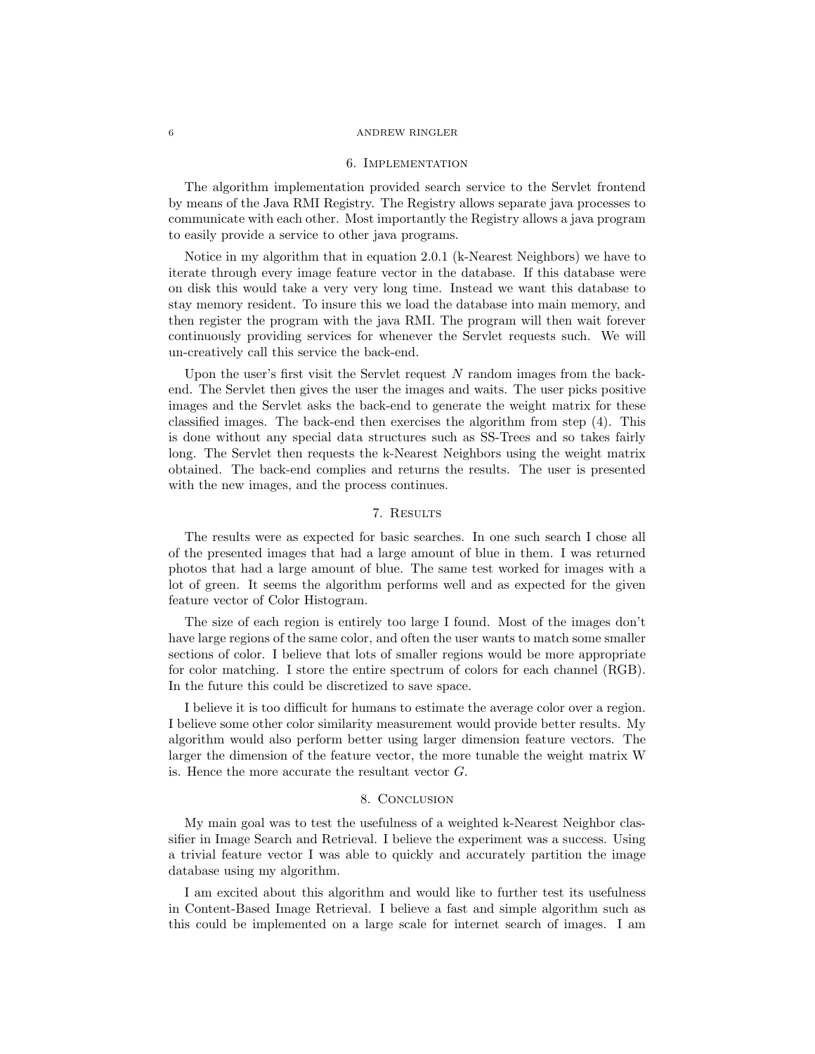#### 6 ANDREW RINGLER

#### 6. Implementation

The algorithm implementation provided search service to the Servlet frontend by means of the Java RMI Registry. The Registry allows separate java processes to communicate with each other. Most importantly the Registry allows a java program to easily provide a service to other java programs.

Notice in my algorithm that in equation 2.0.1 (k-Nearest Neighbors) we have to iterate through every image feature vector in the database. If this database were on disk this would take a very very long time. Instead we want this database to stay memory resident. To insure this we load the database into main memory, and then register the program with the java RMI. The program will then wait forever continuously providing services for whenever the Servlet requests such. We will un-creatively call this service the back-end.

Upon the user's first visit the Servlet request  $N$  random images from the backend. The Servlet then gives the user the images and waits. The user picks positive images and the Servlet asks the back-end to generate the weight matrix for these classified images. The back-end then exercises the algorithm from step (4). This is done without any special data structures such as SS-Trees and so takes fairly long. The Servlet then requests the k-Nearest Neighbors using the weight matrix obtained. The back-end complies and returns the results. The user is presented with the new images, and the process continues.

# 7. Results

The results were as expected for basic searches. In one such search I chose all of the presented images that had a large amount of blue in them. I was returned photos that had a large amount of blue. The same test worked for images with a lot of green. It seems the algorithm performs well and as expected for the given feature vector of Color Histogram.

The size of each region is entirely too large I found. Most of the images don't have large regions of the same color, and often the user wants to match some smaller sections of color. I believe that lots of smaller regions would be more appropriate for color matching. I store the entire spectrum of colors for each channel (RGB). In the future this could be discretized to save space.

I believe it is too difficult for humans to estimate the average color over a region. I believe some other color similarity measurement would provide better results. My algorithm would also perform better using larger dimension feature vectors. The larger the dimension of the feature vector, the more tunable the weight matrix W is. Hence the more accurate the resultant vector G.

# 8. CONCLUSION

My main goal was to test the usefulness of a weighted k-Nearest Neighbor classifier in Image Search and Retrieval. I believe the experiment was a success. Using a trivial feature vector I was able to quickly and accurately partition the image database using my algorithm.

I am excited about this algorithm and would like to further test its usefulness in Content-Based Image Retrieval. I believe a fast and simple algorithm such as this could be implemented on a large scale for internet search of images. I am